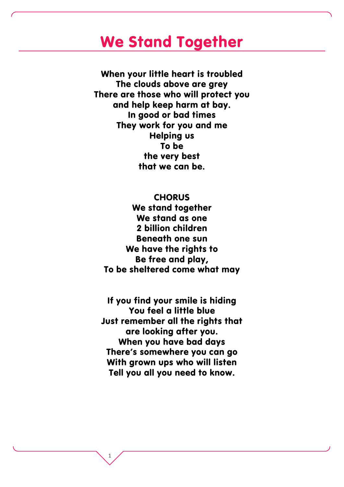## We Stand Together

When your little heart is troubled The clouds above are grey There are those who will protect you and help keep harm at bay. In good or bad times They work for you and me Helping us To be the very best that we can be.

**CHORUS** We stand together We stand as one 2 billion children Beneath one sun We have the rights to Be free and play, To be sheltered come what may

If you find your smile is hiding You feel a little blue Just remember all the rights that are looking after you. When you have bad days There's somewhere you can go With grown ups who will listen Tell you all you need to know.

1